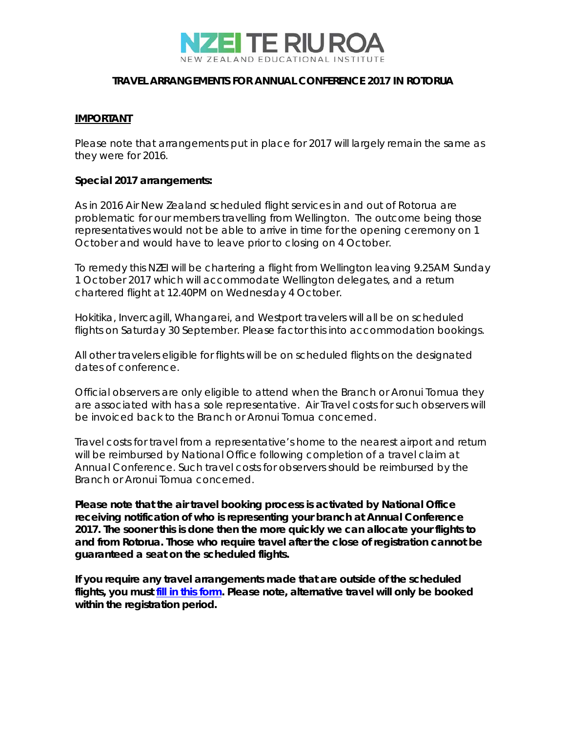

## **TRAVEL ARRANGEMENTS FOR ANNUAL CONFERENCE 2017 IN ROTORUA**

## **IMPORTANT**

Please note that arrangements put in place for 2017 will largely remain the same as they were for 2016.

## **Special 2017 arrangements:**

As in 2016 Air New Zealand scheduled flight services in and out of Rotorua are problematic for our members travelling from Wellington. The outcome being those representatives would not be able to arrive in time for the opening ceremony on 1 October and would have to leave prior to closing on 4 October.

To remedy this NZEI will be chartering a flight from Wellington leaving 9.25AM Sunday 1 October 2017 which will accommodate Wellington delegates, and a return chartered flight at 12.40PM on Wednesday 4 October.

Hokitika, Invercagill, Whangarei, and Westport travelers will all be on scheduled flights on Saturday 30 September. Please factor this into accommodation bookings.

All other travelers eligible for flights will be on scheduled flights on the designated dates of conference.

Official observers are only eligible to attend when the Branch or Aronui Tomua they are associated with has a sole representative. Air Travel costs for such observers will be invoiced back to the Branch or Aronui Tomua concerned.

Travel costs for travel from a representative's home to the nearest airport and return will be reimbursed by National Office following completion of a travel claim at Annual Conference. Such travel costs for observers should be reimbursed by the Branch or Aronui Tomua concerned.

**Please note that the air travel booking process is activated by National Office receiving notification of who is representing your branch at Annual Conference 2017. The sooner this is done then the more quickly we can allocate your flights to and from Rotorua. Those who require travel after the close of registration cannot be guaranteed a seat on the scheduled flights.**

**If you require any travel arrangements made that are outside of the scheduled flights, you must [fill in this form.](https://docs.google.com/forms/d/e/1FAIpQLScrxJixcKt0ZOt_8UjRyDIrD4HSdpXjmIu3aj6EqUv_G0-7uw/viewform?usp=sf_link) Please note, alternative travel will only be booked within the registration period.**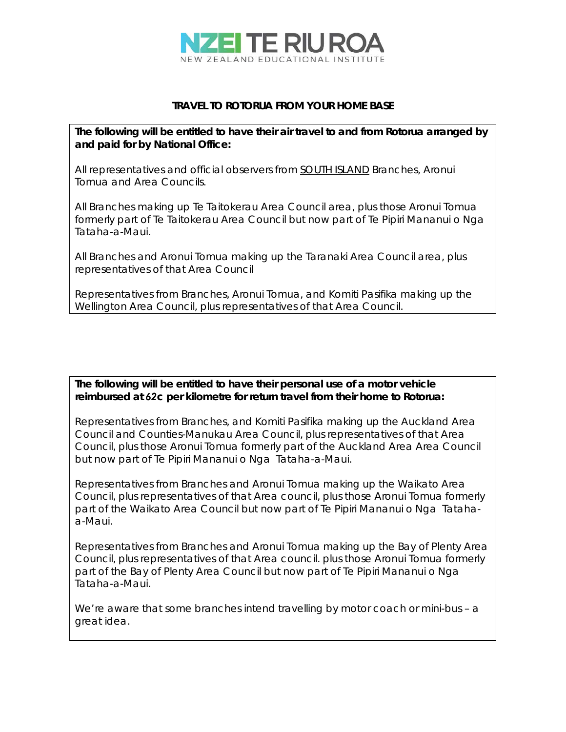

## **TRAVEL TO ROTORUA FROM YOUR HOME BASE**

*The following will be entitled to have their air travel to and from Rotorua arranged* **by**  *and paid for by National Office:*

All representatives and official observers from SOUTH ISLAND Branches, Aronui Tomua and Area Councils.

All Branches making up Te Taitokerau Area Council area, plus those Aronui Tomua formerly part of Te Taitokerau Area Council but now part of Te Pipiri Mananui o Nga Tataha-a-Maui.

All Branches and Aronui Tomua making up the Taranaki Area Council area, plus representatives of that Area Council

Representatives from Branches, Aronui Tomua, and Komiti Pasifika making up the Wellington Area Council, plus representatives of that Area Council.

*The following will be entitled to have their personal use of a motor vehicle reimbursed at 62c per kilometre for return travel from their home to Rotorua:* 

Representatives from Branches, and Komiti Pasifika making up the Auckland Area Council and Counties-Manukau Area Council, plus representatives of that Area Council, plus those Aronui Tomua formerly part of the Auckland Area Area Council but now part of Te Pipiri Mananui o Nga Tataha-a-Maui.

Representatives from Branches and Aronui Tomua making up the Waikato Area Council, plus representatives of that Area council, plus those Aronui Tomua formerly part of the Waikato Area Council but now part of Te Pipiri Mananui o Nga Tatahaa-Maui.

Representatives from Branches and Aronui Tomua making up the Bay of Plenty Area Council, plus representatives of that Area council. plus those Aronui Tomua formerly part of the Bay of Plenty Area Council but now part of Te Pipiri Mananui o Nga Tataha-a-Maui.

We're aware that some branches intend travelling by motor coach or mini-bus - a great idea.